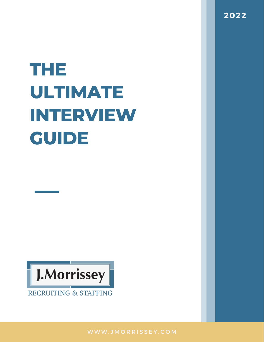# **THE ULTIMATE INTERVIEW GUIDE**



**2022**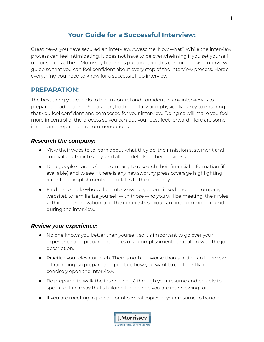# **Your Guide for a Successful Interview:**

Great news, you have secured an interview. Awesome! Now what? While the interview process can feel intimidating, it does not have to be overwhelming if you set yourself up for success. The J. Morrissey team has put together this comprehensive interview guide so that you can feel confident about every step of the interview process. Here's everything you need to know for a successful job interview:

## **PREPARATION:**

The best thing you can do to feel in control and confident in any interview is to prepare ahead of time. Preparation, both mentally and physically, is key to ensuring that you feel confident and composed for your interview. Doing so will make you feel more in control of the process so you can put your best foot forward. Here are some important preparation recommendations:

## *Research the company:*

- View their website to learn about what they do, their mission statement and core values, their history, and all the details of their business.
- Do a google search of the company to research their financial information (if available) and to see if there is any newsworthy press coverage highlighting recent accomplishments or updates to the company.
- Find the people who will be interviewing you on LinkedIn (or the company website), to familiarize yourself with those who you will be meeting, their roles within the organization, and their interests so you can find common ground during the interview.

#### *Review your experience:*

- No one knows you better than yourself, so it's important to go over your experience and prepare examples of accomplishments that align with the job description.
- Practice your elevator pitch. There's nothing worse than starting an interview off rambling, so prepare and practice how you want to confidently and concisely open the interview.
- Be prepared to walk the interviewer(s) through your resume and be able to speak to it in a way that's tailored for the role you are interviewing for.
- If you are meeting in person, print several copies of your resume to hand out.



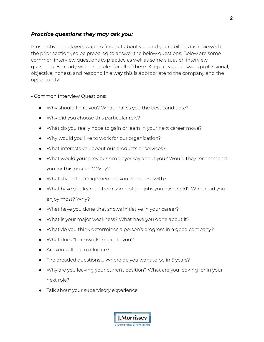## *Practice questions they may ask you:*

Prospective employers want to find out about you and your abilities (as reviewed in the prior section), so be prepared to answer the below questions. Below are some common interview questions to practice as well as some situation interview questions. Be ready with examples for all of these. Keep all your answers professional, objective, honest, and respond in a way this is appropriate to the company and the opportunity.

## - Common Interview Questions:

- Why should I hire you? What makes you the best candidate?
- Why did you choose this particular role?
- What do you really hope to gain or learn in your next career move?
- Why would you like to work for our organization?
- What interests you about our products or services?
- What would your previous employer say about you? Would they recommend you for this position? Why?
- What style of management do you work best with?
- What have you learned from some of the jobs you have held? Which did you enjoy most? Why?
- What have you done that shows initiative in your career?
- What is your major weakness? What have you done about it?
- What do you think determines a person's progress in a good company?
- What does "teamwork" mean to you?
- Are you willing to relocate?
- The dreaded questions.... Where do you want to be in 5 years?
- Why are you leaving your current position? What are you looking for in your next role?
- Talk about your supervisory experience.

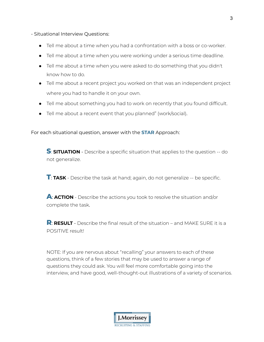- Situational Interview Questions:

- Tell me about a time when you had a confrontation with a boss or co-worker.
- Tell me about a time when you were working under a serious time deadline.
- Tell me about a time when you were asked to do something that you didn't know how to do.
- Tell me about a recent project you worked on that was an independent project where you had to handle it on your own.
- Tell me about something you had to work on recently that you found difficult.
- Tell me about a recent event that you planned" (work/social).

For each situational question, answer with the **STAR** Approach:

**S**: **SITUATION** - Describe <sup>a</sup> specific situation that applies to the question -- do not generalize.

**T**: **TASK** - Describe the task at hand; again, do not generalize -- be specific.

**A**: **ACTION** - Describe the actions you took to resolve the situation and/or complete the task.

**R**: **RESULT** - Describe the final result of the situation – and MAKE SURE it is <sup>a</sup> POSITIVE result!

NOTE: If you are nervous about "recalling" your answers to each of these questions, think of a few stories that may be used to answer a range of questions they could ask. You will feel more comfortable going into the interview, and have good, well-thought-out illustrations of a variety of scenarios.

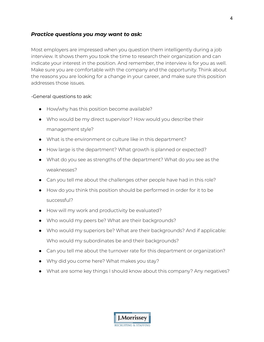## *Practice questions you may want to ask:*

Most employers are impressed when you question them intelligently during a job interview. It shows them you took the time to research their organization and can indicate your interest in the position. And remember, the interview is for you as well. Make sure you are comfortable with the company and the opportunity. Think about the reasons you are looking for a change in your career, and make sure this position addresses those issues.

#### -General questions to ask:

- How/why has this position become available?
- Who would be my direct supervisor? How would you describe their management style?
- What is the environment or culture like in this department?
- How large is the department? What growth is planned or expected?
- What do you see as strengths of the department? What do you see as the weaknesses?
- Can you tell me about the challenges other people have had in this role?
- How do you think this position should be performed in order for it to be successful?
- How will my work and productivity be evaluated?
- Who would my peers be? What are their backgrounds?
- Who would my superiors be? What are their backgrounds? And if applicable: Who would my subordinates be and their backgrounds?
- Can you tell me about the turnover rate for this department or organization?
- Why did you come here? What makes you stay?
- What are some key things I should know about this company? Any negatives?

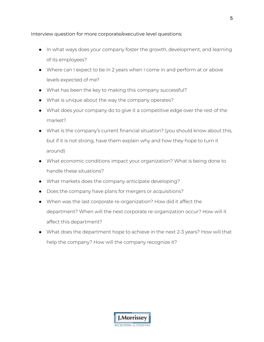Interview question for more corporate/executive level questions:

- In what ways does your company foster the growth, development, and learning of its employees?
- Where can I expect to be in 2 years when I come in and perform at or above levels expected of me?
- What has been the key to making this company successful?
- What is unique about the way the company operates?
- What does your company do to give it a competitive edge over the rest of the market?
- What is the company's current financial situation? (you should know about this, but if it is not strong, have them explain why and how they hope to turn it around)
- What economic conditions impact your organization? What is being done to handle these situations?
- What markets does the company anticipate developing?
- Does the company have plans for mergers or acquisitions?
- When was the last corporate re-organization? How did it affect the department? When will the next corporate re-organization occur? How will it affect this department?
- What does the department hope to achieve in the next 2-3 years? How will that help the company? How will the company recognize it?

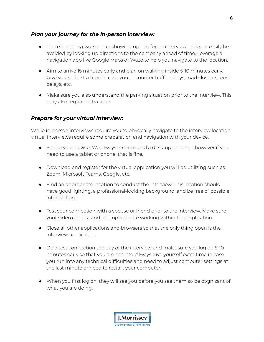## *Plan your journey for the in-person interview:*

- There's nothing worse than showing up late for an interview. This can easily be avoided by looking up directions to the company ahead of time. Leverage a navigation app like Google Maps or Waze to help you navigate to the location.
- Aim to arrive 15 minutes early and plan on walking inside 5-10 minutes early. Give yourself extra time in case you encounter traffic delays, road closures, bus delays, etc.
- Make sure you also understand the parking situation prior to the interview. This may also require extra time.

## *Prepare for your virtual interview:*

While in-person interviews require you to physically navigate to the interview location, virtual interviews require some preparation and navigation with your device.

- Set up your device. We always recommend a desktop or laptop however if you need to use a tablet or phone, that is fine.
- Download and register for the virtual application you will be utilizing such as Zoom, Microsoft Teams, Google, etc.
- Find an appropriate location to conduct the interview. This location should have good lighting, a professional-looking background, and be free of possible interruptions.
- Test your connection with a spouse or friend prior to the interview. Make sure your video camera and microphone are working within the application.
- Close all other applications and browsers so that the only thing open is the interview application.
- Do a test connection the day of the interview and make sure you log on 5-10 minutes early so that you are not late. Always give yourself extra time in case you run into any technical difficulties and need to adjust computer settings at the last minute or need to restart your computer.
- When you first log on, they will see you before you see them so be cognizant of what you are doing.

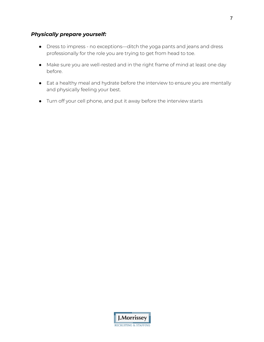## *Physically prepare yourself:*

- Dress to impress no exceptions—ditch the yoga pants and jeans and dress professionally for the role you are trying to get from head to toe.
- Make sure you are well-rested and in the right frame of mind at least one day before.
- Eat a healthy meal and hydrate before the interview to ensure you are mentally and physically feeling your best.
- Turn off your cell phone, and put it away before the interview starts

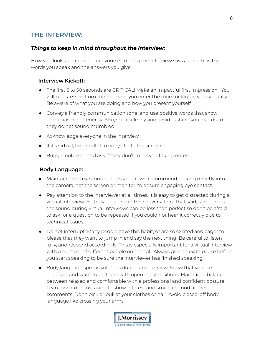# **THE INTERVIEW:**

## *Things to keep in mind throughout the interview:*

How you look, act and conduct yourself during the interview says as much as the words you speak and the answers you give.

#### **Interview Kickoff:**

- The first 5 to 50 seconds are CRITICAL! Make an impactful first impression. You will be assessed from the moment you enter the room or log on your virtually. Be aware of what you are doing and how you present yourself
- Convey a friendly communication tone, and use positive words that show enthusiasm and energy. Also, speak clearly and avoid rushing your words so they do not sound mumbled.
- Acknowledge everyone in the interview.
- If it's virtual, be mindful to not yell into the screen.
- Bring a notepad, and ask if they don't mind you taking notes.

#### **Body Language:**

- Maintain good eye contact. If it's virtual, we recommend looking directly into the camera, not the screen or monitor, to ensure engaging eye contact.
- Pay attention to the interviewer at all times. It is easy to get distracted during a virtual interview. Be truly engaged in the conversation. That said, sometimes the sound during virtual interviews can be less than perfect so don't be afraid to ask for a question to be repeated if you could not hear it correctly due to technical issues.
- Do not interrupt: Many people have this habit, or are so excited and eager to please that they want to jump in and say the next thing! Be careful to listen fully, and respond accordingly. This is especially important for a virtual interview with a number of different people on the call. Always give an extra pause before you start speaking to be sure the interviewer has finished speaking.
- Body language speaks volumes during an interview. Show that you are engaged and want to be there with open body positions. Maintain a balance between relaxed and comfortable with a professional and confident posture. Lean forward on occasion to show interest and smile and nod at their comments. Don't pick or pull at your clothes or hair. Avoid closed-off body language like crossing your arms.

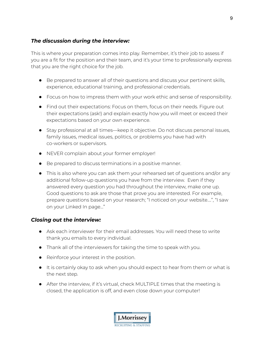## *The discussion during the interview:*

This is where your preparation comes into play. Remember, it's their job to assess if you are a fit for the position and their team, and it's your time to professionally express that you are the right choice for the job.

- Be prepared to answer all of their questions and discuss your pertinent skills, experience, educational training, and professional credentials.
- Focus on how to impress them with your work ethic and sense of responsibility.
- Find out their expectations: Focus on them, focus on their needs. Figure out their expectations (ask!) and explain exactly how you will meet or exceed their expectations based on your own experience.
- Stay professional at all times—keep it objective. Do not discuss personal issues, family issues, medical issues, politics, or problems you have had with co-workers or supervisors.
- NEVER complain about your former employer!
- Be prepared to discuss terminations in a positive manner.
- This is also where you can ask them your rehearsed set of questions and/or any additional follow-up questions you have from the interview. Even if they answered every question you had throughout the interview, make one up. Good questions to ask are those that prove you are interested. For example, prepare questions based on your research; "I noticed on your website….", "I saw on your Linked In page…"

## *Closing out the interview:*

- Ask each interviewer for their email addresses. You will need these to write thank you emails to every individual.
- Thank all of the interviewers for taking the time to speak with you.
- Reinforce your interest in the position.
- It is certainly okay to ask when you should expect to hear from them or what is the next step.
- After the interview, if it's virtual, check MULTIPLE times that the meeting is closed, the application is off, and even close down your computer!